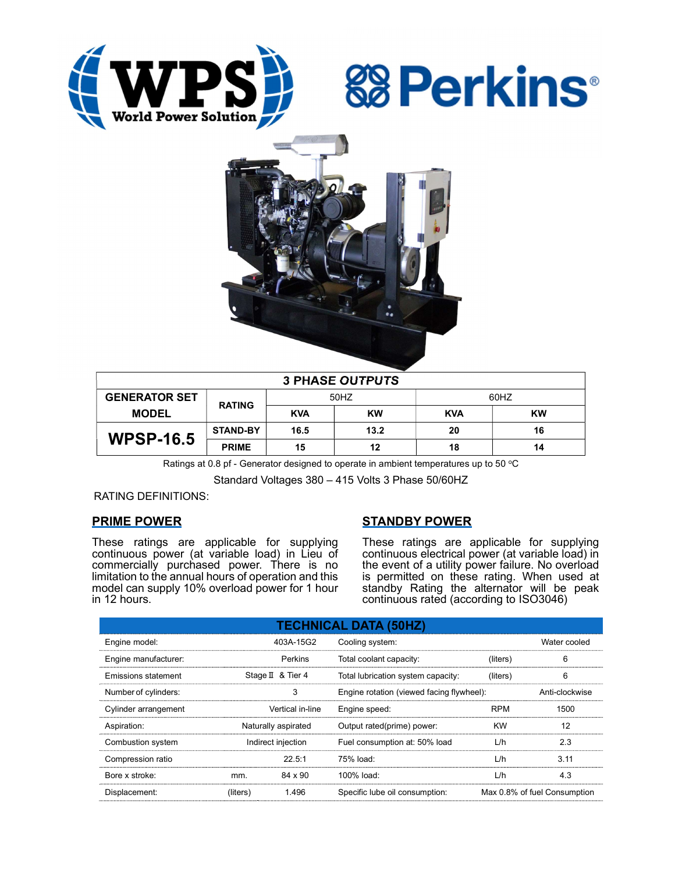





| <b>3 PHASE OUTPUTS</b> |                 |            |           |            |           |  |  |
|------------------------|-----------------|------------|-----------|------------|-----------|--|--|
| <b>GENERATOR SET</b>   | <b>RATING</b>   | 50HZ       |           | 60HZ       |           |  |  |
| <b>MODEL</b>           |                 | <b>KVA</b> | <b>KW</b> | <b>KVA</b> | <b>KW</b> |  |  |
| <b>WPSP-16.5</b>       | <b>STAND-BY</b> | 16.5       | 13.2      | 20         | 16        |  |  |
|                        | <b>PRIME</b>    | 15         | 12        | 18         | 14        |  |  |

Ratings at 0.8 pf - Generator designed to operate in ambient temperatures up to 50  $^{\circ}$ C

Standard Voltages 380 – 415 Volts 3 Phase 50/60HZ

RATING DEFINITIONS:

# PRIME POWER

These ratings are applicable for supplying continuous power (at variable load) in Lieu of commercially purchased power. There is no limitation to the annual hours of operation and this model can supply 10% overload power for 1 hour in 12 hours.

# STANDBY POWER

These ratings are applicable for supplying continuous electrical power (at variable load) in the event of a utility power failure. No overload is permitted on these rating. When used at standby Rating the alternator will be peak continuous rated (according to ISO3046)

| <b>TECHNICAL DATA (50HZ)</b> |                     |                   |                                           |            |                              |  |  |
|------------------------------|---------------------|-------------------|-------------------------------------------|------------|------------------------------|--|--|
| Engine model:                |                     | 403A-15G2         | Cooling system:                           |            | Water cooled                 |  |  |
| Engine manufacturer:         |                     | Perkins           | Total coolant capacity:                   | (liters)   | 6                            |  |  |
| Emissions statement          |                     | Stage II & Tier 4 | Total lubrication system capacity:        | (liters)   | 6                            |  |  |
| Number of cylinders:         |                     | 3                 | Engine rotation (viewed facing flywheel): |            | Anti-clockwise               |  |  |
| Cylinder arrangement         |                     | Vertical in-line  | Engine speed:                             | <b>RPM</b> | 1500                         |  |  |
| Aspiration:                  | Naturally aspirated |                   | Output rated(prime) power:                | <b>KW</b>  | 12                           |  |  |
| Combustion system            | Indirect injection  |                   | Fuel consumption at: 50% load             | L/h        | 2.3                          |  |  |
| Compression ratio            |                     | 22.5:1            | 75% load:                                 | L/h        | 3.11                         |  |  |
| Bore x stroke:               | mm.                 | 84 x 90           | $100\%$ load:                             | L/h        | 4.3                          |  |  |
| Displacement:                | (liters)            | 1.496             | Specific lube oil consumption:            |            | Max 0.8% of fuel Consumption |  |  |